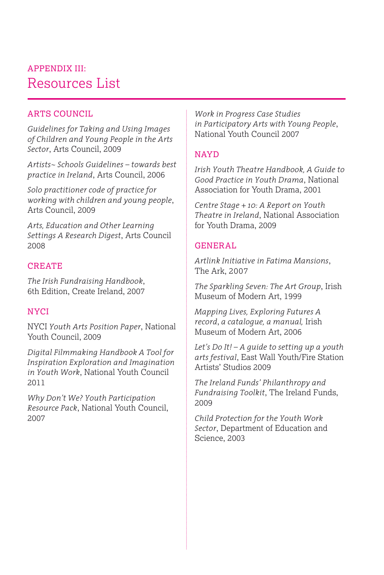# Resources List APPENDIX III:

## ARTS COUNCIL

*Guidelines for Taking and Using Images of Children and Young People in the Arts Sector*, Arts Council, 2009

*Artists~ Schools Guidelines – towards best practice in Ireland*, Arts Council, 2006

*Solo practitioner code of practice for working with children and young people*, Arts Council, 2009

*Arts, Education and Other Learning Settings A Research Digest*, Arts Council 2008

### CREATE

*The Irish Fundraising Handbook*, 6th Edition, Create Ireland, 2007

### **NYCI**

NYCI *Youth Arts Position Paper*, National Youth Council, 2009

*Digital Filmmaking Handbook A Tool for Inspiration Exploration and Imagination in Youth Work*, National Youth Council 2011

*Why Don't We? Youth Participation Resource Pack*, National Youth Council, 2007

*Work in Progress Case Studies in Participatory Arts with Young People*, National Youth Council 2007

### **NAYD**

*Irish Youth Theatre Handbook, A Guide to Good Practice in Youth Drama*, National Association for Youth Drama, 2001

*Centre Stage + 10: A Report on Youth Theatre in Ireland*, National Association for Youth Drama, 2009

# GENERAL

*Artlink Initiative in Fatima Mansions*, The Ark, 2007

*The Sparkling Seven: The Art Group*, Irish Museum of Modern Art, 1999

*Mapping Lives, Exploring Futures A record*, *a catalogue, a manual,* Irish Museum of Modern Art, 2006

*Let's Do It! – A guide to setting up a youth arts festival*, East Wall Youth/Fire Station Artists' Studios 2009

*The Ireland Funds' Philanthropy and Fundraising Toolkit*, The Ireland Funds, 2009

*Child Protection for the Youth Work Sector*, Department of Education and Science, 2003